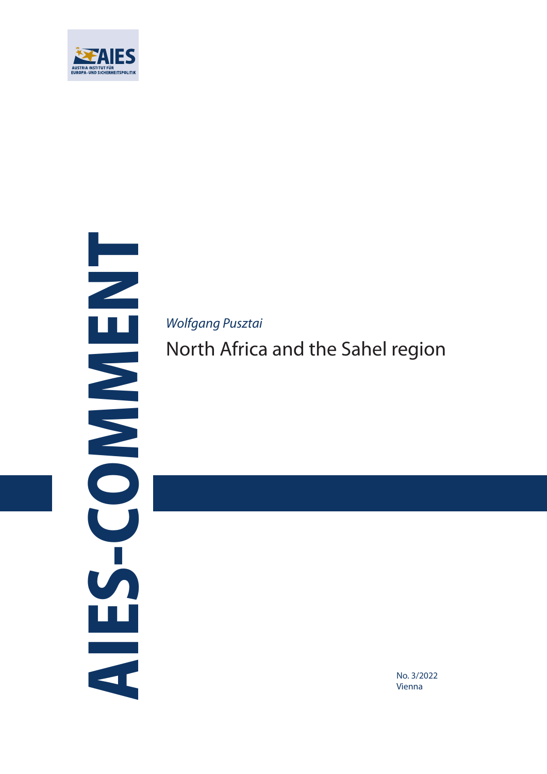

AIES-COMMENT **FINENCOS** W<br>C

*Wolfgang Pusztai*

North Africa and the Sahel region

No. 3/2022 Vienna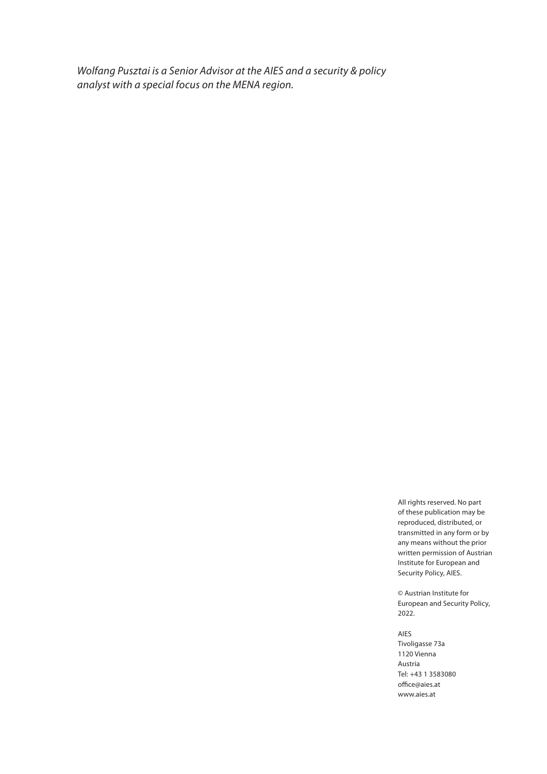*Wolfang Pusztai is a Senior Advisor at the AIES and a security & policy analyst with a special focus on the MENA region.*

> All rights reserved. No part of these publication may be reproduced, distributed, or transmitted in any form or by any means without the prior written permission of Austrian Institute for European and Security Policy, AIES.

© Austrian Institute for European and Security Policy, 2022.

AIES Tivoligasse 73a 1120 Vienna Austria Tel: +43 1 3583080 office@aies.at www.aies.at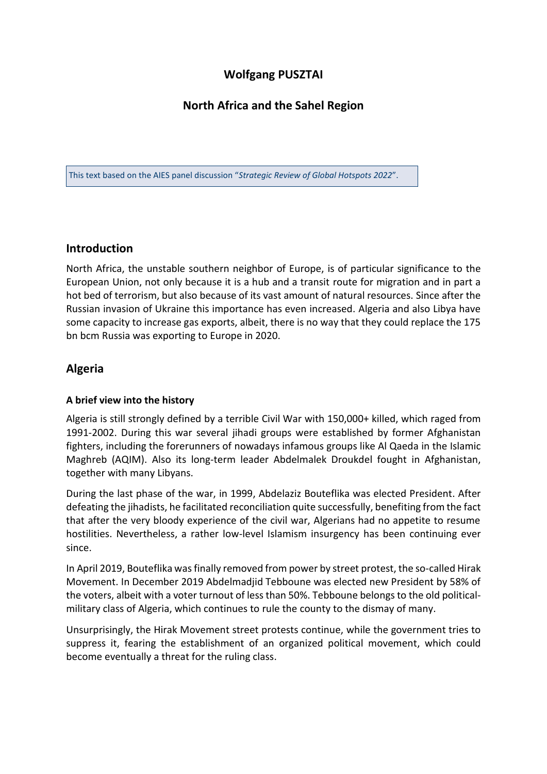# **Wolfgang PUSZTAI**

# **North Africa and the Sahel Region**

This text based on the AIES panel discussion "*Strategic Review of Global Hotspots 2022*".

### **Introduction**

North Africa, the unstable southern neighbor of Europe, is of particular significance to the European Union, not only because it is a hub and a transit route for migration and in part a hot bed of terrorism, but also because of its vast amount of natural resources. Since after the Russian invasion of Ukraine this importance has even increased. Algeria and also Libya have some capacity to increase gas exports, albeit, there is no way that they could replace the 175 bn bcm Russia was exporting to Europe in 2020.

### **Algeria**

#### **A brief view into the history**

Algeria is still strongly defined by a terrible Civil War with 150,000+ killed, which raged from 1991-2002. During this war several jihadi groups were established by former Afghanistan fighters, including the forerunners of nowadays infamous groups like Al Qaeda in the Islamic Maghreb (AQIM). Also its long-term leader Abdelmalek Droukdel fought in Afghanistan, together with many Libyans.

During the last phase of the war, in 1999, Abdelaziz Bouteflika was elected President. After defeating the jihadists, he facilitated reconciliation quite successfully, benefiting from the fact that after the very bloody experience of the civil war, Algerians had no appetite to resume hostilities. Nevertheless, a rather low-level Islamism insurgency has been continuing ever since.

In April 2019, Bouteflika was finally removed from power by street protest, the so-called Hirak Movement. In December 2019 Abdelmadjid Tebboune was elected new President by 58% of the voters, albeit with a voter turnout of less than 50%. Tebboune belongs to the old politicalmilitary class of Algeria, which continues to rule the county to the dismay of many.

Unsurprisingly, the Hirak Movement street protests continue, while the government tries to suppress it, fearing the establishment of an organized political movement, which could become eventually a threat for the ruling class.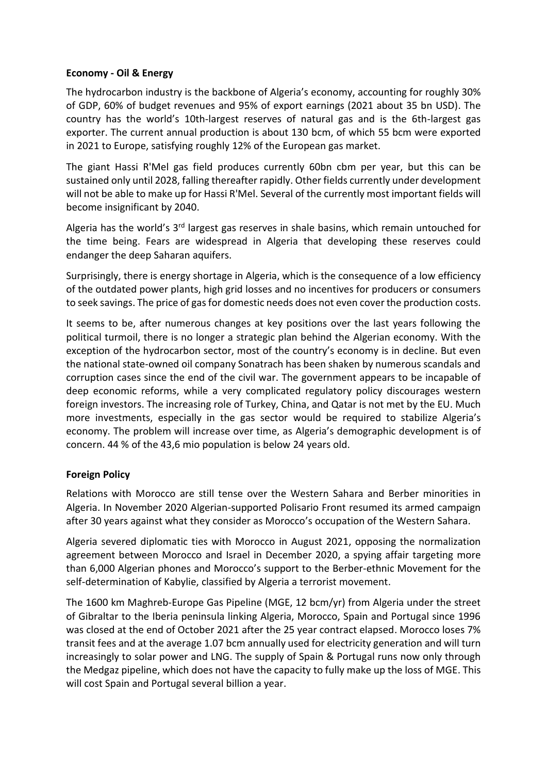#### **Economy - Oil & Energy**

The hydrocarbon industry is the backbone of Algeria's economy, accounting for roughly 30% of GDP, 60% of budget revenues and 95% of export earnings (2021 about 35 bn USD). The country has the world's 10th-largest reserves of natural gas and is the 6th-largest gas exporter. The current annual production is about 130 bcm, of which 55 bcm were exported in 2021 to Europe, satisfying roughly 12% of the European gas market.

The giant Hassi R'Mel gas field produces currently 60bn cbm per year, but this can be sustained only until 2028, falling thereafter rapidly. Other fields currently under development will not be able to make up for Hassi R'Mel. Several of the currently most important fields will become insignificant by 2040.

Algeria has the world's 3<sup>rd</sup> largest gas reserves in shale basins, which remain untouched for the time being. Fears are widespread in Algeria that developing these reserves could endanger the deep Saharan aquifers.

Surprisingly, there is energy shortage in Algeria, which is the consequence of a low efficiency of the outdated power plants, high grid losses and no incentives for producers or consumers to seek savings. The price of gas for domestic needs does not even cover the production costs.

It seems to be, after numerous changes at key positions over the last years following the political turmoil, there is no longer a strategic plan behind the Algerian economy. With the exception of the hydrocarbon sector, most of the country's economy is in decline. But even the national state-owned oil company Sonatrach has been shaken by numerous scandals and corruption cases since the end of the civil war. The government appears to be incapable of deep economic reforms, while a very complicated regulatory policy discourages western foreign investors. The increasing role of Turkey, China, and Qatar is not met by the EU. Much more investments, especially in the gas sector would be required to stabilize Algeria's economy. The problem will increase over time, as Algeria's demographic development is of concern. 44 % of the 43,6 mio population is below 24 years old.

### **Foreign Policy**

Relations with Morocco are still tense over the Western Sahara and Berber minorities in Algeria. In November 2020 Algerian-supported Polisario Front resumed its armed campaign after 30 years against what they consider as Morocco's occupation of the Western Sahara.

Algeria severed diplomatic ties with Morocco in August 2021, opposing the normalization agreement between Morocco and Israel in December 2020, a spying affair targeting more than 6,000 Algerian phones and Morocco's support to the Berber-ethnic Movement for the self-determination of Kabylie, classified by Algeria a terrorist movement.

The 1600 km Maghreb-Europe Gas Pipeline (MGE, 12 bcm/yr) from Algeria under the street of Gibraltar to the Iberia peninsula linking Algeria, Morocco, Spain and Portugal since 1996 was closed at the end of October 2021 after the 25 year contract elapsed. Morocco loses 7% transit fees and at the average 1.07 bcm annually used for electricity generation and will turn increasingly to solar power and LNG. The supply of Spain & Portugal runs now only through the Medgaz pipeline, which does not have the capacity to fully make up the loss of MGE. This will cost Spain and Portugal several billion a year.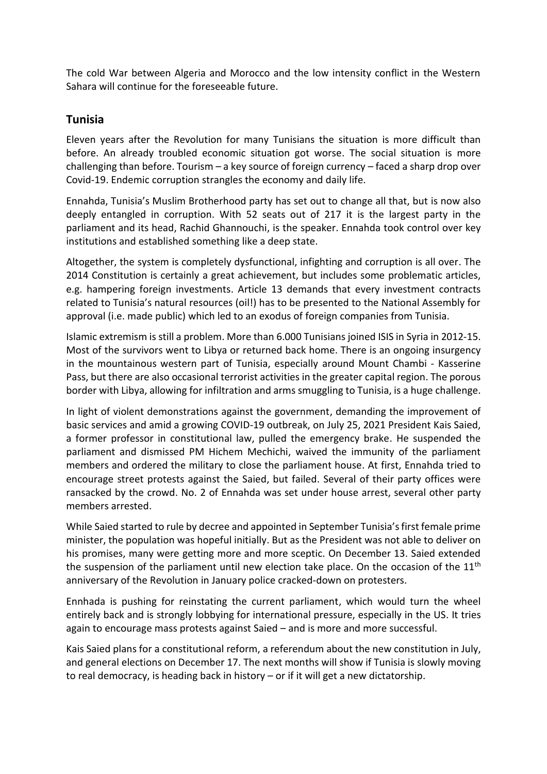The cold War between Algeria and Morocco and the low intensity conflict in the Western Sahara will continue for the foreseeable future.

### **Tunisia**

Eleven years after the Revolution for many Tunisians the situation is more difficult than before. An already troubled economic situation got worse. The social situation is more challenging than before. Tourism – a key source of foreign currency – faced a sharp drop over Covid-19. Endemic corruption strangles the economy and daily life.

Ennahda, Tunisia's Muslim Brotherhood party has set out to change all that, but is now also deeply entangled in corruption. With 52 seats out of 217 it is the largest party in the parliament and its head, Rachid Ghannouchi, is the speaker. Ennahda took control over key institutions and established something like a deep state.

Altogether, the system is completely dysfunctional, infighting and corruption is all over. The 2014 Constitution is certainly a great achievement, but includes some problematic articles, e.g. hampering foreign investments. Article 13 demands that every investment contracts related to Tunisia's natural resources (oil!) has to be presented to the National Assembly for approval (i.e. made public) which led to an exodus of foreign companies from Tunisia.

Islamic extremism is still a problem. More than 6.000 Tunisians joined ISIS in Syria in 2012-15. Most of the survivors went to Libya or returned back home. There is an ongoing insurgency in the mountainous western part of Tunisia, especially around Mount Chambi - Kasserine Pass, but there are also occasional terrorist activities in the greater capital region. The porous border with Libya, allowing for infiltration and arms smuggling to Tunisia, is a huge challenge.

In light of violent demonstrations against the government, demanding the improvement of basic services and amid a growing COVID-19 outbreak, on July 25, 2021 President Kais Saied, a former professor in constitutional law, pulled the emergency brake. He suspended the parliament and dismissed PM Hichem Mechichi, waived the immunity of the parliament members and ordered the military to close the parliament house. At first, Ennahda tried to encourage street protests against the Saied, but failed. Several of their party offices were ransacked by the crowd. No. 2 of Ennahda was set under house arrest, several other party members arrested.

While Saied started to rule by decree and appointed in September Tunisia's first female prime minister, the population was hopeful initially. But as the President was not able to deliver on his promises, many were getting more and more sceptic. On December 13. Saied extended the suspension of the parliament until new election take place. On the occasion of the  $11<sup>th</sup>$ anniversary of the Revolution in January police cracked-down on protesters.

Ennhada is pushing for reinstating the current parliament, which would turn the wheel entirely back and is strongly lobbying for international pressure, especially in the US. It tries again to encourage mass protests against Saied – and is more and more successful.

Kais Saied plans for a constitutional reform, a referendum about the new constitution in July, and general elections on December 17. The next months will show if Tunisia is slowly moving to real democracy, is heading back in history – or if it will get a new dictatorship.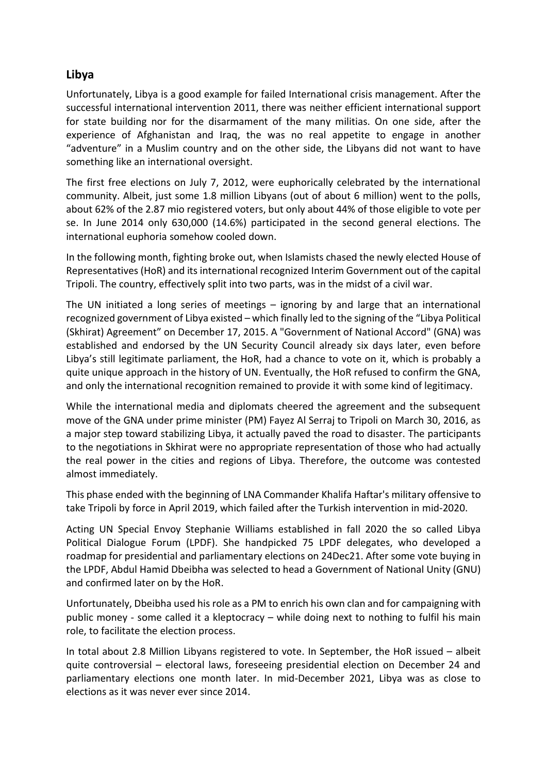# **Libya**

Unfortunately, Libya is a good example for failed International crisis management. After the successful international intervention 2011, there was neither efficient international support for state building nor for the disarmament of the many militias. On one side, after the experience of Afghanistan and Iraq, the was no real appetite to engage in another "adventure" in a Muslim country and on the other side, the Libyans did not want to have something like an international oversight.

The first free elections on July 7, 2012, were euphorically celebrated by the international community. Albeit, just some 1.8 million Libyans (out of about 6 million) went to the polls, about 62% of the 2.87 mio registered voters, but only about 44% of those eligible to vote per se. In June 2014 only 630,000 (14.6%) participated in the second general elections. The international euphoria somehow cooled down.

In the following month, fighting broke out, when Islamists chased the newly elected House of Representatives (HoR) and its international recognized Interim Government out of the capital Tripoli. The country, effectively split into two parts, was in the midst of a civil war.

The UN initiated a long series of meetings – ignoring by and large that an international recognized government of Libya existed – which finally led to the signing of the "Libya Political (Skhirat) Agreement" on December 17, 2015. A "Government of National Accord" (GNA) was established and endorsed by the UN Security Council already six days later, even before Libya's still legitimate parliament, the HoR, had a chance to vote on it, which is probably a quite unique approach in the history of UN. Eventually, the HoR refused to confirm the GNA, and only the international recognition remained to provide it with some kind of legitimacy.

While the international media and diplomats cheered the agreement and the subsequent move of the GNA under prime minister (PM) Fayez Al Serraj to Tripoli on March 30, 2016, as a major step toward stabilizing Libya, it actually paved the road to disaster. The participants to the negotiations in Skhirat were no appropriate representation of those who had actually the real power in the cities and regions of Libya. Therefore, the outcome was contested almost immediately.

This phase ended with the beginning of LNA Commander Khalifa Haftar's military offensive to take Tripoli by force in April 2019, which failed after the Turkish intervention in mid-2020.

Acting UN Special Envoy Stephanie Williams established in fall 2020 the so called Libya Political Dialogue Forum (LPDF). She handpicked 75 LPDF delegates, who developed a roadmap for presidential and parliamentary elections on 24Dec21. After some vote buying in the LPDF, Abdul Hamid Dbeibha was selected to head a Government of National Unity (GNU) and confirmed later on by the HoR.

Unfortunately, Dbeibha used his role as a PM to enrich his own clan and for campaigning with public money - some called it a kleptocracy – while doing next to nothing to fulfil his main role, to facilitate the election process.

In total about 2.8 Million Libyans registered to vote. In September, the HoR issued – albeit quite controversial – electoral laws, foreseeing presidential election on December 24 and parliamentary elections one month later. In mid-December 2021, Libya was as close to elections as it was never ever since 2014.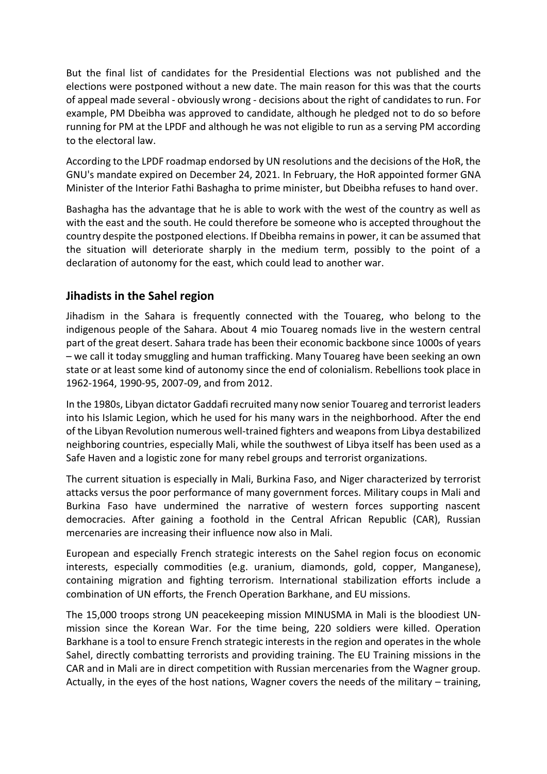But the final list of candidates for the Presidential Elections was not published and the elections were postponed without a new date. The main reason for this was that the courts of appeal made several - obviously wrong - decisions about the right of candidates to run. For example, PM Dbeibha was approved to candidate, although he pledged not to do so before running for PM at the LPDF and although he was not eligible to run as a serving PM according to the electoral law.

According to the LPDF roadmap endorsed by UN resolutions and the decisions of the HoR, the GNU's mandate expired on December 24, 2021. In February, the HoR appointed former GNA Minister of the Interior Fathi Bashagha to prime minister, but Dbeibha refuses to hand over.

Bashagha has the advantage that he is able to work with the west of the country as well as with the east and the south. He could therefore be someone who is accepted throughout the country despite the postponed elections. If Dbeibha remains in power, it can be assumed that the situation will deteriorate sharply in the medium term, possibly to the point of a declaration of autonomy for the east, which could lead to another war.

## **Jihadists in the Sahel region**

Jihadism in the Sahara is frequently connected with the Touareg, who belong to the indigenous people of the Sahara. About 4 mio Touareg nomads live in the western central part of the great desert. Sahara trade has been their economic backbone since 1000s of years – we call it today smuggling and human trafficking. Many Touareg have been seeking an own state or at least some kind of autonomy since the end of colonialism. Rebellions took place in 1962-1964, 1990-95, 2007-09, and from 2012.

In the 1980s, Libyan dictator Gaddafi recruited many now senior Touareg and terrorist leaders into his Islamic Legion, which he used for his many wars in the neighborhood. After the end of the Libyan Revolution numerous well-trained fighters and weapons from Libya destabilized neighboring countries, especially Mali, while the southwest of Libya itself has been used as a Safe Haven and a logistic zone for many rebel groups and terrorist organizations.

The current situation is especially in Mali, Burkina Faso, and Niger characterized by terrorist attacks versus the poor performance of many government forces. Military coups in Mali and Burkina Faso have undermined the narrative of western forces supporting nascent democracies. After gaining a foothold in the Central African Republic (CAR), Russian mercenaries are increasing their influence now also in Mali.

European and especially French strategic interests on the Sahel region focus on economic interests, especially commodities (e.g. uranium, diamonds, gold, copper, Manganese), containing migration and fighting terrorism. International stabilization efforts include a combination of UN efforts, the French Operation Barkhane, and EU missions.

The 15,000 troops strong UN peacekeeping mission MINUSMA in Mali is the bloodiest UNmission since the Korean War. For the time being, 220 soldiers were killed. Operation Barkhane is a tool to ensure French strategic interests in the region and operates in the whole Sahel, directly combatting terrorists and providing training. The EU Training missions in the CAR and in Mali are in direct competition with Russian mercenaries from the Wagner group. Actually, in the eyes of the host nations, Wagner covers the needs of the military – training,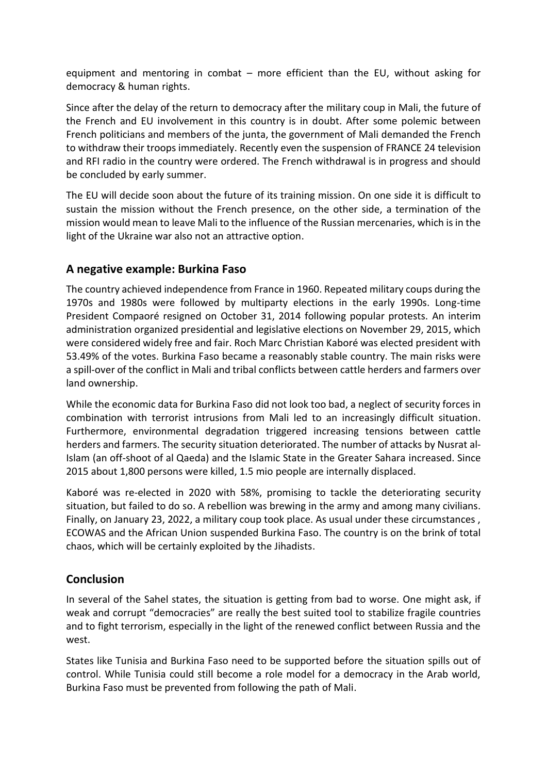equipment and mentoring in combat – more efficient than the EU, without asking for democracy & human rights.

Since after the delay of the return to democracy after the military coup in Mali, the future of the French and EU involvement in this country is in doubt. After some polemic between French politicians and members of the junta, the government of Mali demanded the French to withdraw their troops immediately. Recently even the suspension of FRANCE 24 television and RFI radio in the country were ordered. The French withdrawal is in progress and should be concluded by early summer.

The EU will decide soon about the future of its training mission. On one side it is difficult to sustain the mission without the French presence, on the other side, a termination of the mission would mean to leave Mali to the influence of the Russian mercenaries, which is in the light of the Ukraine war also not an attractive option.

## **A negative example: Burkina Faso**

The country achieved independence from France in 1960. Repeated military coups during the 1970s and 1980s were followed by multiparty elections in the early 1990s. Long-time President Compaoré resigned on October 31, 2014 following popular protests. An interim administration organized presidential and legislative elections on November 29, 2015, which were considered widely free and fair. Roch Marc Christian Kaboré was elected president with 53.49% of the votes. Burkina Faso became a reasonably stable country. The main risks were a spill-over of the conflict in Mali and tribal conflicts between cattle herders and farmers over land ownership.

While the economic data for Burkina Faso did not look too bad, a neglect of security forces in combination with terrorist intrusions from Mali led to an increasingly difficult situation. Furthermore, environmental degradation triggered increasing tensions between cattle herders and farmers. The security situation deteriorated. The number of attacks by Nusrat al-Islam (an off-shoot of al Qaeda) and the Islamic State in the Greater Sahara increased. Since 2015 about 1,800 persons were killed, 1.5 mio people are internally displaced.

Kaboré was re-elected in 2020 with 58%, promising to tackle the deteriorating security situation, but failed to do so. A rebellion was brewing in the army and among many civilians. Finally, on January 23, 2022, a military coup took place. As usual under these circumstances , ECOWAS and the African Union suspended Burkina Faso. The country is on the brink of total chaos, which will be certainly exploited by the Jihadists.

# **Conclusion**

In several of the Sahel states, the situation is getting from bad to worse. One might ask, if weak and corrupt "democracies" are really the best suited tool to stabilize fragile countries and to fight terrorism, especially in the light of the renewed conflict between Russia and the west.

States like Tunisia and Burkina Faso need to be supported before the situation spills out of control. While Tunisia could still become a role model for a democracy in the Arab world, Burkina Faso must be prevented from following the path of Mali.